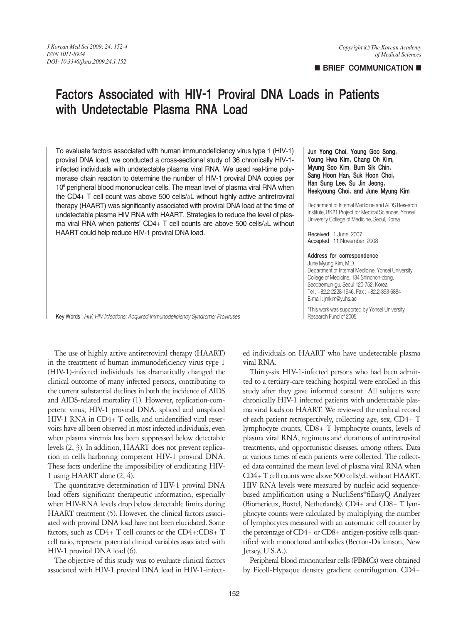## **BRIEF COMMUNICATION**

# Factors Associated with HIV-1 Proviral DNA Loads in Patients with Undetectable Plasma RNA Load

To evaluate factors associated with human immunodeficiency virus type 1 (HIV-1) proviral DNA load, we conducted a cross-sectional study of 36 chronically HIV-1 infected individuals with undetectable plasma viral RNA. We used real-time polymerase chain reaction to determine the number of HIV-1 proviral DNA copies per 10<sup>6</sup> peripheral blood mononuclear cells. The mean level of plasma viral RNA when the CD4+ T cell count was above 500 cells/μL without highly active antiretroviral therapy (HAART) was significantly associated with proviral DNA load at the time of undetectable plasma HIV RNA with HAART. Strategies to reduce the level of plasma viral RNA when patients' CD4+ T cell counts are above 500 cells/μL without HAART could help reduce HIV-1 proviral DNA load.

### Jun Yong Choi, Young Goo Song, Young Hwa Kim, Chang Oh Kim, Myung Soo Kim, Bum Sik Chin, Sang Hoon Han, Suk Hoon Choi, Han Sung Lee, Su Jin Jeong, Heekyoung Choi, and June Myung Kim

Department of Internal Medicine and AIDS Research Institute, BK21 Project for Medical Sciences, Yonsei University College of Medicine, Seoul, Korea

Received : 1 June 2007 Accepted : 11 November 2008

#### Address for correspondence

June Myung Kim, M.D. Department of Internal Medicine, Yonsei University College of Medicine, 134 Shinchon-dong, Seodaemun-gu, Seoul 120-752, Korea Tel : +82.2-2228-1946, Fax : +82.2-393-6884 E-mail : jmkim@yuhs.ac

\*This work was supported by Yonsei University Research Fund of 2005.

Key Words : *HIV; HIV Infections; Acquired Immunodeficiency Syndrome; Proviruses* 

The use of highly active antiretroviral therapy (HAART) in the treatment of human immunodeficiency virus type 1 (HIV-1)-infected individuals has dramatically changed the clinical outcome of many infected persons, contributing to the current substantial declines in both the incidence of AIDS and AIDS-related mortality (1). However, replication-competent virus, HIV-1 proviral DNA, spliced and unspliced HIV-1 RNA in CD4+ T cells, and unidentified viral reservoirs have all been observed in most infected individuals, even when plasma viremia has been suppressed below detectable levels (2, 3). In addition, HAART does not prevent replication in cells harboring competent HIV-1 proviral DNA. These facts underline the impossibility of eradicating HIV-1 using HAART alone (2, 4).

The quantitative determination of HIV-1 proviral DNA load offers significant therapeutic information, especially when HIV-RNA levels drop below detectable limits during HAART treatment (5). However, the clinical factors associated with proviral DNA load have not been elucidated. Some factors, such as  $CD4+T$  cell counts or the  $CD4+CD8+T$ cell ratio, represent potential clinical variables associated with HIV-1 proviral DNA load (6).

The objective of this study was to evaluate clinical factors associated with HIV-1 proviral DNA load in HIV-1-infected individuals on HAART who have undetectable plasma viral RNA.

Thirty-six HIV-1-infected persons who had been admitted to a tertiary-care teaching hospital were enrolled in this study after they gave informed consent. All subjects were chronically HIV-1 infected patients with undetectable plasma viral loads on HAART. We reviewed the medical record of each patient retrospectively, collecting age, sex, CD4+ T lymphocyte counts, CD8+ T lymphocyte counts, levels of plasma viral RNA, regimens and durations of antiretroviral treatments, and opportunistic diseases, among others. Data at various times of each patients were collected. The collected data contained the mean level of plasma viral RNA when CD4+ T cell counts were above 500 cells/μL without HAART. HIV RNA levels were measured by nucleic acid sequencebased amplification using a NucliSens�fiEasyQ Analyzer (Biomerieux, Boxtel, Netherlands). CD4+ and CD8+ T lymphocyte counts were calculated by multiplying the number of lymphocytes measured with an automatic cell counter by the percentage of CD4+ or CD8+ antigen-positive cells quantified with monoclonal antibodies (Becton-Dickinson, New Jersey, U.S.A.).

Peripheral blood mononuclear cells (PBMCs) were obtained by Ficoll-Hypaque density gradient centrifugation. CD4+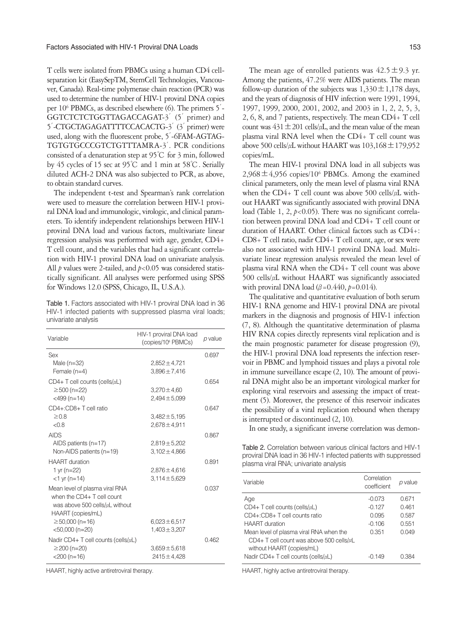T cells were isolated from PBMCs using a human CD4 cellseparation kit (EasySepTM, StemCell Technologies, Vancouver, Canada). Real-time polymerase chain reaction (PCR) was used to determine the number of HIV-1 proviral DNA copies per 106 PBMCs, as described elsewhere (6). The primers 5′- GGTCTCTCTGGTTAGACCAGAT-3<sup>'</sup> (5<sup>'</sup> primer) and 5′-CTGCTAGAGATTTTCCACACTG-3′(3′primer) were used, along with the fluorescent probe, 5′-6FAM-AGTAG-TGTGTGCCCGTCTGTTTAMRA-3′. PCR conditions consisted of a denaturation step at 95℃ for 3 min, followed by 45 cycles of 15 sec at 95℃ and 1 min at 58℃. Serially diluted ACH-2 DNA was also subjected to PCR, as above, to obtain standard curves.

The independent t-test and Spearman's rank correlation were used to measure the correlation between HIV-1 proviral DNA load and immunologic, virologic, and clinical parameters. To identify independent relationships between HIV-1 proviral DNA load and various factors, multivariate linear regression analysis was performed with age, gender, CD4+ T cell count, and the variables that had a significant correlation with HIV-1 proviral DNA load on univariate analysis. All *p* values were 2-tailed, and *p*<0.05 was considered statistically significant. All analyses were performed using SPSS for Windows 12.0 (SPSS, Chicago, IL, U.S.A.).

Table 1. Factors associated with HIV-1 proviral DNA load in 36 HIV-1 infected patients with suppressed plasma viral loads; univariate analysis

| Variable                                                                                             | HIV-1 proviral DNA load<br>(copies/10 <sup>6</sup> PBMCs) | p value |
|------------------------------------------------------------------------------------------------------|-----------------------------------------------------------|---------|
| Sex                                                                                                  |                                                           | 0.697   |
| Male $(n=32)$                                                                                        | $2.852 \pm 4.721$                                         |         |
| Female $(n=4)$                                                                                       | $3,896 \pm 7,416$                                         |         |
| $CD4+T$ cell counts (cells/ $\mu L$ )                                                                |                                                           | 0.654   |
| $\geq$ 500 (n=22)                                                                                    | $3,270 \pm 4,60$                                          |         |
| $<$ 499 $(n=14)$                                                                                     | $2,494 \pm 5,099$                                         |         |
| CD4+:CD8+T cell ratio                                                                                |                                                           | 0.647   |
| $\geq 0.8$                                                                                           | $3,482 \pm 5,195$                                         |         |
| < 0.8                                                                                                | $2,678 \pm 4,911$                                         |         |
| <b>AIDS</b>                                                                                          |                                                           | 0.867   |
| AIDS patients $(n=17)$                                                                               | $2,819 \pm 5,202$                                         |         |
| Non-AIDS patients $(n=19)$                                                                           | $3,102 \pm 4,866$                                         |         |
| <b>HAART</b> duration                                                                                |                                                           | 0.891   |
| 1 yr $(n=22)$                                                                                        | $2,876 \pm 4,616$                                         |         |
| $<$ 1 yr (n=14)                                                                                      | $3,114 \pm 5,629$                                         |         |
| Mean level of plasma viral RNA<br>when the CD4+ T cell count<br>was above 500 cells/ $\mu$ L without |                                                           | 0.037   |
| HAART (copies/mL)                                                                                    |                                                           |         |
| $\geq$ 50,000 (n=16)                                                                                 | $6,023 \pm 6,517$                                         |         |
| $<$ 50,000 (n=20)                                                                                    | $1,403 \pm 3,207$                                         |         |
| Nadir CD4+ T cell counts (cells/ $\mu$ L)                                                            |                                                           | 0.462   |
| $\geq$ 200 (n=20)                                                                                    | $3,659 \pm 5,618$                                         |         |
| $<$ 200 (n=16)                                                                                       | $2415 \pm 4.428$                                          |         |

HAART, highly active antiretroviral therapy. HAART, highly active antiretroviral therapy.

The mean age of enrolled patients was  $42.5 \pm 9.3$  yr. Among the patients, 47.2% were AIDS patients. The mean follow-up duration of the subjects was  $1,330 \pm 1,178$  days, and the years of diagnosis of HIV infection were 1991, 1994, 1997, 1999, 2000, 2001, 2002, and 2003 in 1, 2, 2, 5, 3, 2, 6, 8, and 7 patients, respectively. The mean CD4+ T cell count was  $431 \pm 201$  cells/ $\mu$ L, and the mean value of the mean plasma viral RNA level when the CD4+ T cell count was above 500 cells/ $\mu$ L without HAART was  $103,168 \pm 179,952$ copies/mL.

The mean HIV-1 proviral DNA load in all subjects was  $2,968 \pm 4,956$  copies/10<sup>6</sup> PBMCs. Among the examined clinical parameters, only the mean level of plasma viral RNA when the CD4+ T cell count was above 500 cells/ $\mu$ L without HAART was significantly associated with proviral DNA load (Table 1, 2, *p*<0.05). There was no significant correlation between proviral DNA load and CD4+ T cell count or duration of HAART. Other clinical factors such as CD4+: CD8+ T cell ratio, nadir CD4+ T cell count, age, or sex were also not associated with HIV-1 proviral DNA load. Multivariate linear regression analysis revealed the mean level of plasma viral RNA when the CD4+ T cell count was above 500 cells/μL without HAART was significantly associated with proviral DNA load (β=0.440, *p*=0.014).

The qualitative and quantitative evaluation of both serum HIV-1 RNA genome and HIV-1 proviral DNA are pivotal markers in the diagnosis and prognosis of HIV-1 infection (7, 8). Although the quantitative determination of plasma HIV RNA copies directly represents viral replication and is the main prognostic parameter for disease progression (9), the HIV-1 proviral DNA load represents the infection reservoir in PBMC and lymphoid tissues and plays a pivotal role in immune surveillance escape (2, 10). The amount of proviral DNA might also be an important virological marker for exploring viral reservoirs and assessing the impact of treatment (5). Moreover, the presence of this reservoir indicates the possibility of a viral replication rebound when therapy is interrupted or discontinued (2, 10).

In one study, a significant inverse correlation was demon-

Table 2. Correlation between various clinical factors and HIV-1 proviral DNA load in 36 HIV-1 infected patients with suppressed plasma viral RNA; univariate analysis

| Correlation<br>coefficient | p value |
|----------------------------|---------|
| $-0.073$                   | 0.671   |
| $-0.127$                   | 0461    |
| 0.095                      | 0.587   |
| $-0.106$                   | 0.551   |
| 0.351                      | 0.049   |
|                            |         |
|                            |         |
| -0.149                     | በ 384   |
|                            |         |